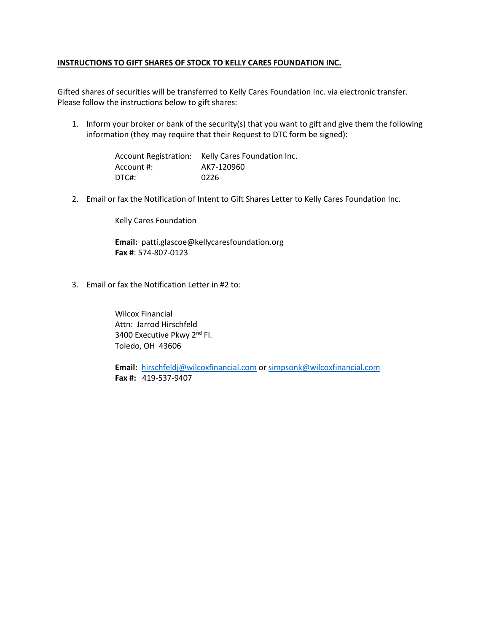## **INSTRUCTIONS TO GIFT SHARES OF STOCK TO KELLY CARES FOUNDATION INC.**

Gifted shares of securities will be transferred to Kelly Cares Foundation Inc. via electronic transfer. Please follow the instructions below to gift shares:

1. Inform your broker or bank of the security(s) that you want to gift and give them the following information (they may require that their Request to DTC form be signed):

> Account Registration: Kelly Cares Foundation Inc. Account #: AK7-120960 DTC#: 0226

2. Email or fax the Notification of Intent to Gift Shares Letter to Kelly Cares Foundation Inc.

Kelly Cares Foundation

**Email:** patti.glascoe@kellycaresfoundation.org **Fax #**: 574-807-0123

3. Email or fax the Notification Letter in #2 to:

Wilcox Financial Attn: Jarrod Hirschfeld 3400 Executive Pkwy 2<sup>nd</sup> Fl. Toledo, OH 43606

**Email:** [hirschfeldj@wilcoxfinancial.com](mailto:hirschfeldj@wilcoxfinancial.com) or [simpsonk@wilcoxfinancial.com](mailto:simpsonk@wilcoxfinancial.com) **Fax #:** 419-537-9407